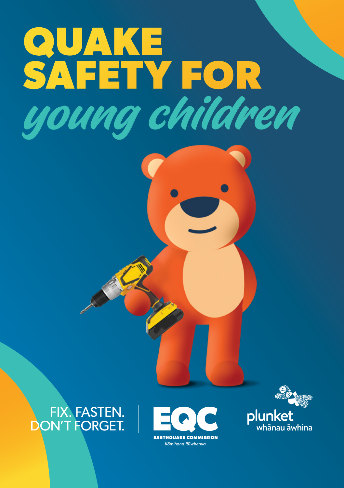

### FIX. FASTEN. **ON'T FORGET.**





plunket whānau āwhina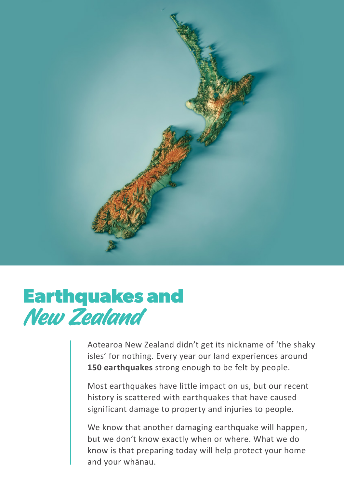

## **Earthquakes and**  New Zealand

Aotearoa New Zealand didn't get its nickname of 'the shaky isles' for nothing. Every year our land experiences around **150 earthquakes** strong enough to be felt by people.

Most earthquakes have little impact on us, but our recent history is scattered with earthquakes that have caused significant damage to property and injuries to people.

We know that another damaging earthquake will happen, but we don't know exactly when or where. What we do know is that preparing today will help protect your home and your whānau.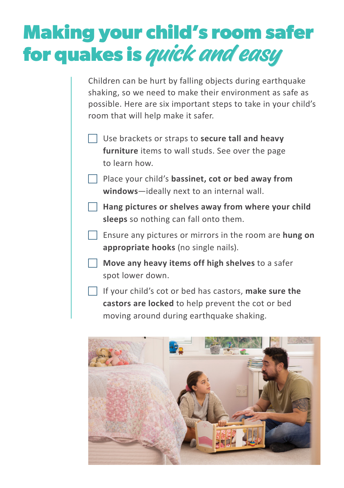## **Making your child's room safer for quakes is** quick and easy

Children can be hurt by falling objects during earthquake shaking, so we need to make their environment as safe as possible. Here are six important steps to take in your child's room that will help make it safer.

**F** Use brackets or straps to **secure tall and heavy furniture** items to wall studs. See over the page to learn how.

Place your child's **bassinet, cot or bed away from windows**—ideally next to an internal wall.

F **Hang pictures or shelves away from where your child sleeps** so nothing can fall onto them.

F Ensure any pictures or mirrors in the room are **hung on appropriate hooks** (no single nails).

Move any heavy items off high shelves to a safer spot lower down.

F If your child's cot or bed has castors, **make sure the castors are locked** to help prevent the cot or bed moving around during earthquake shaking.

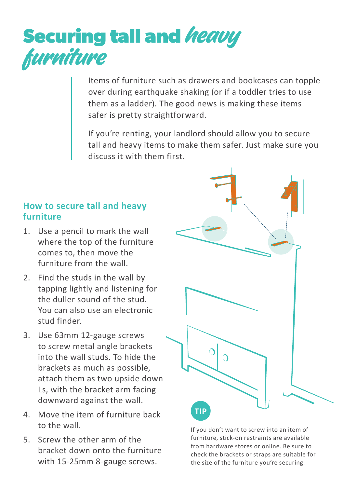# **Securing tall and heavy**<br>furniture

Items of furniture such as drawers and bookcases can topple over during earthquake shaking (or if a toddler tries to use them as a ladder). The good news is making these items safer is pretty straightforward.

If you're renting, your landlord should allow you to secure tall and heavy items to make them safer. Just make sure you discuss it with them first.

#### **How to secure tall and heavy furniture**

- 1. Use a pencil to mark the wall where the top of the furniture comes to, then move the furniture from the wall.
- 2. Find the studs in the wall by tapping lightly and listening for the duller sound of the stud. You can also use an electronic stud finder.
- 3. Use 63mm 12-gauge screws to screw metal angle brackets into the wall studs. To hide the brackets as much as possible, attach them as two upside down Ls, with the bracket arm facing downward against the wall.
- 4. Move the item of furniture back to the wall.
- 5. Screw the other arm of the bracket down onto the furniture with 15-25mm 8-gauge screws.



If you don't want to screw into an item of furniture, stick-on restraints are available from hardware stores or online. Be sure to check the brackets or straps are suitable for the size of the furniture you're securing.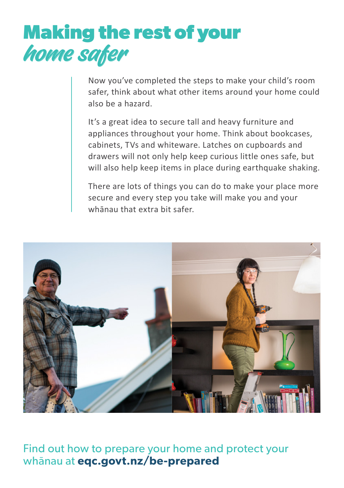

Now you've completed the steps to make your child's room safer, think about what other items around your home could also be a hazard.

It's a great idea to secure tall and heavy furniture and appliances throughout your home. Think about bookcases, cabinets, TVs and whiteware. Latches on cupboards and drawers will not only help keep curious little ones safe, but will also help keep items in place during earthquake shaking.

There are lots of things you can do to make your place more secure and every step you take will make you and your whānau that extra bit safer.



Find out how to prepare your home and protect your whānau at **eqc.govt.nz/be-prepared**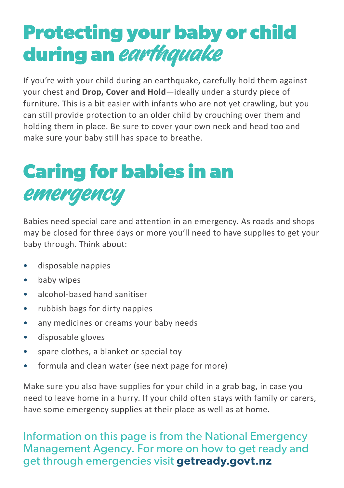## **Protecting your baby or child during an** earthquake

If you're with your child during an earthquake, carefully hold them against your chest and **Drop, Cover and Hold**—ideally under a sturdy piece of furniture. This is a bit easier with infants who are not yet crawling, but you can still provide protection to an older child by crouching over them and holding them in place. Be sure to cover your own neck and head too and make sure your baby still has space to breathe.

## **Caring for babies in an**  emergency

Babies need special care and attention in an emergency. As roads and shops may be closed for three days or more you'll need to have supplies to get your baby through. Think about:

- disposable nappies
- baby wipes
- alcohol-based hand sanitiser
- rubbish bags for dirty nappies
- any medicines or creams your baby needs
- disposable gloves
- spare clothes, a blanket or special toy
- formula and clean water (see next page for more)

Make sure you also have supplies for your child in a grab bag, in case you need to leave home in a hurry. If your child often stays with family or carers, have some emergency supplies at their place as well as at home.

Information on this page is from the National Emergency Management Agency. For more on how to get ready and get through emergencies visit **getready.govt.nz**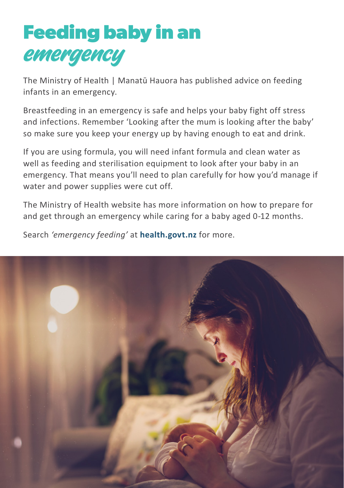## **Feeding baby in an**  emergency

The Ministry of Health | Manatū Hauora has published advice on feeding infants in an emergency.

Breastfeeding in an emergency is safe and helps your baby fight off stress and infections. Remember 'Looking after the mum is looking after the baby' so make sure you keep your energy up by having enough to eat and drink.

If you are using formula, you will need infant formula and clean water as well as feeding and sterilisation equipment to look after your baby in an emergency. That means you'll need to plan carefully for how you'd manage if water and power supplies were cut off.

The Ministry of Health website has more information on how to prepare for and get through an emergency while caring for a baby aged 0-12 months.

Search *'emergency feeding'* at **health.govt.nz** for more.